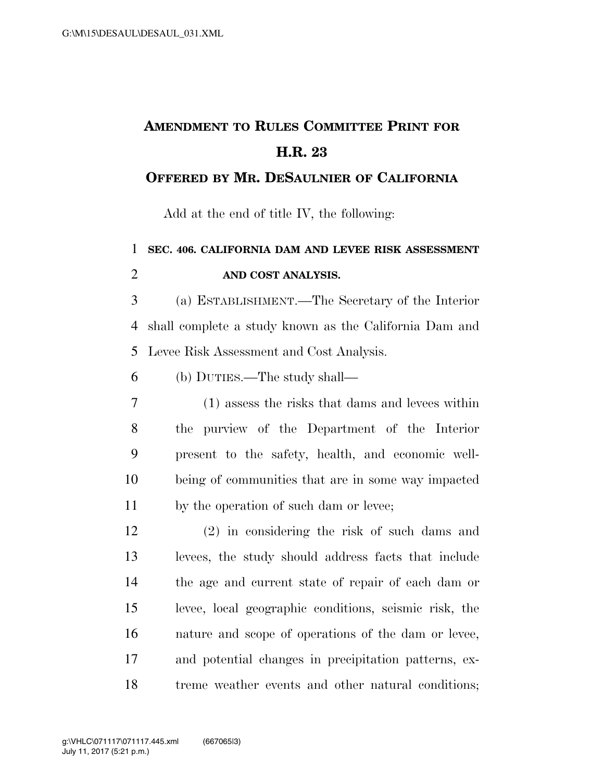## **AMENDMENT TO RULES COMMITTEE PRINT FOR H.R. 23**

## **OFFERED BY MR. DESAULNIER OF CALIFORNIA**

Add at the end of title IV, the following:

## **SEC. 406. CALIFORNIA DAM AND LEVEE RISK ASSESSMENT AND COST ANALYSIS.**

 (a) ESTABLISHMENT.—The Secretary of the Interior shall complete a study known as the California Dam and Levee Risk Assessment and Cost Analysis.

(b) DUTIES.—The study shall—

 (1) assess the risks that dams and levees within the purview of the Department of the Interior present to the safety, health, and economic well- being of communities that are in some way impacted 11 by the operation of such dam or levee;

 (2) in considering the risk of such dams and levees, the study should address facts that include the age and current state of repair of each dam or levee, local geographic conditions, seismic risk, the nature and scope of operations of the dam or levee, and potential changes in precipitation patterns, ex-treme weather events and other natural conditions;